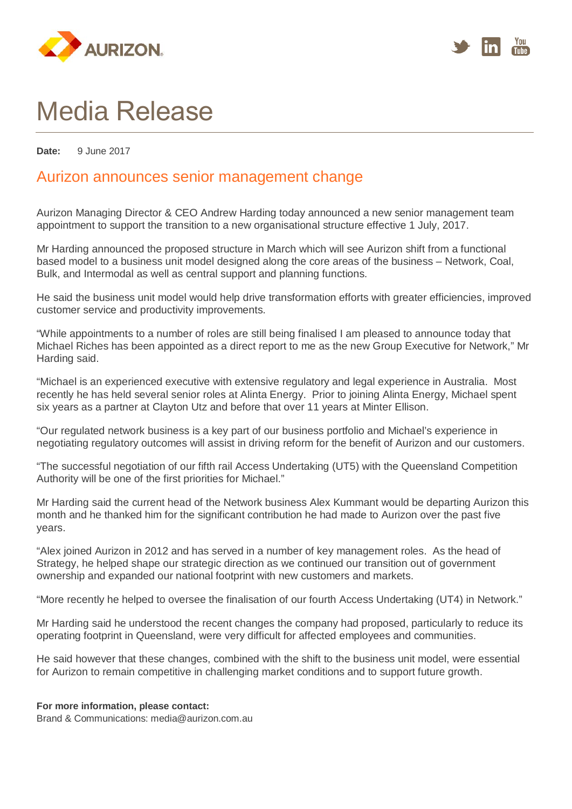



## Media Release

**Date:** 9 June 2017

## Aurizon announces senior management change

Aurizon Managing Director & CEO Andrew Harding today announced a new senior management team appointment to support the transition to a new organisational structure effective 1 July, 2017.

Mr Harding announced the proposed structure in March which will see Aurizon shift from a functional based model to a business unit model designed along the core areas of the business – Network, Coal, Bulk, and Intermodal as well as central support and planning functions.

He said the business unit model would help drive transformation efforts with greater efficiencies, improved customer service and productivity improvements.

"While appointments to a number of roles are still being finalised I am pleased to announce today that Michael Riches has been appointed as a direct report to me as the new Group Executive for Network," Mr Harding said.

"Michael is an experienced executive with extensive regulatory and legal experience in Australia. Most recently he has held several senior roles at Alinta Energy. Prior to joining Alinta Energy, Michael spent six years as a partner at Clayton Utz and before that over 11 years at Minter Ellison.

"Our regulated network business is a key part of our business portfolio and Michael's experience in negotiating regulatory outcomes will assist in driving reform for the benefit of Aurizon and our customers.

"The successful negotiation of our fifth rail Access Undertaking (UT5) with the Queensland Competition Authority will be one of the first priorities for Michael."

Mr Harding said the current head of the Network business Alex Kummant would be departing Aurizon this month and he thanked him for the significant contribution he had made to Aurizon over the past five years.

"Alex joined Aurizon in 2012 and has served in a number of key management roles. As the head of Strategy, he helped shape our strategic direction as we continued our transition out of government ownership and expanded our national footprint with new customers and markets.

"More recently he helped to oversee the finalisation of our fourth Access Undertaking (UT4) in Network."

Mr Harding said he understood the recent changes the company had proposed, particularly to reduce its operating footprint in Queensland, were very difficult for affected employees and communities.

He said however that these changes, combined with the shift to the business unit model, were essential for Aurizon to remain competitive in challenging market conditions and to support future growth.

## **For more information, please contact:**

Brand & Communications: media@aurizon.com.au